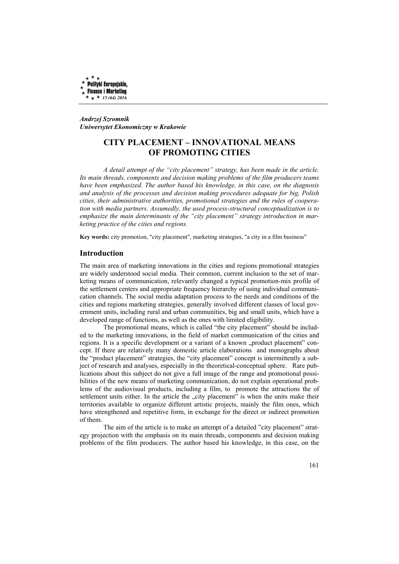

*Andrzej Szromnik Uniwersytet Ekonomiczny w Krakowie* 

# **CITY PLACEMENT – INNOVATIONAL MEANS OF PROMOTING CITIES**

*A detail attempt of the "city placement" strategy, has been made in the article. Its main threads, components and decision making problems of the film producers teams have been emphasized. The author based his knowledge, in this case, on the diagnosis and analysis of the processes and decision making procedures adequate for big, Polish cities, their administrative authorities, promotional strategies and the rules of cooperation with media partners. Assumedly, the used process-structural conceptualization is to emphasize the main determinants of the "city placement" strategy introduction in marketing practice of the cities and regions.* 

**Key words:** city promotion, "city placement", marketing strategies, "a city in a film business"

#### **Introduction**

The main area of marketing innovations in the cities and regions promotional strategies are widely understood social media. Their common, current inclusion to the set of marketing means of communication, relevantly changed a typical promotion-mix profile of the settlement centers and appropriate frequency hierarchy of using individual communication channels. The social media adaptation process to the needs and conditions of the cities and regions marketing strategies, generally involved different classes of local government units, including rural and urban communities, big and small units, which have a developed range of functions, as well as the ones with limited eligibility.

The promotional means, which is called "the city placement" should be included to the marketing innovations, in the field of market communication of the cities and regions. It is a specific development or a variant of a known "product placement" concept. If there are relatively many domestic article elaborations and monographs about the "product placement" strategies, the "city placement" concept is intermittently a subject of research and analyses, especially in the theoretical-conceptual sphere. Rare publications about this subject do not give a full image of the range and promotional possibilities of the new means of marketing communication, do not explain operational problems of the audiovisual products, including a film, to promote the attractions the of settlement units either. In the article the "city placement" is when the units make their territories available to organize different artistic projects, mainly the film ones, which have strengthened and repetitive form, in exchange for the direct or indirect promotion of them.

The aim of the article is to make an attempt of a detailed "city placement" strategy projection with the emphasis on its main threads, components and decision making problems of the film producers. The author based his knowledge, in this case, on the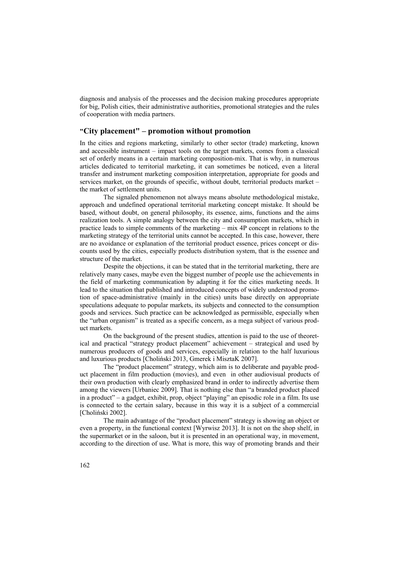diagnosis and analysis of the processes and the decision making procedures appropriate for big, Polish cities, their administrative authorities, promotional strategies and the rules of cooperation with media partners.

# **"City placement" – promotion without promotion**

In the cities and regions marketing, similarly to other sector (trade) marketing, known and accessible instrument – impact tools on the target markets, comes from a classical set of orderly means in a certain marketing composition-mix. That is why, in numerous articles dedicated to territorial marketing, it can sometimes be noticed, even a literal transfer and instrument marketing composition interpretation, appropriate for goods and services market, on the grounds of specific, without doubt, territorial products market – the market of settlement units.

The signaled phenomenon not always means absolute methodological mistake, approach and undefined operational territorial marketing concept mistake. It should be based, without doubt, on general philosophy, its essence, aims, functions and the aims realization tools. A simple analogy between the city and consumption markets, which in practice leads to simple comments of the marketing – mix 4P concept in relations to the marketing strategy of the territorial units cannot be accepted. In this case, however, there are no avoidance or explanation of the territorial product essence, prices concept or discounts used by the cities, especially products distribution system, that is the essence and structure of the market.

Despite the objections, it can be stated that in the territorial marketing, there are relatively many cases, maybe even the biggest number of people use the achievements in the field of marketing communication by adapting it for the cities marketing needs. It lead to the situation that published and introduced concepts of widely understood promotion of space-administrative (mainly in the cities) units base directly on appropriate speculations adequate to popular markets, its subjects and connected to the consumption goods and services. Such practice can be acknowledged as permissible, especially when the "urban organism" is treated as a specific concern, as a mega subject of various product markets.

On the background of the present studies, attention is paid to the use of theoretical and practical "strategy product placement" achievement – strategical and used by numerous producers of goods and services, especially in relation to the half luxurious and luxurious products [Choliński 2013, Gmerek i MisztaK 2007].

The "product placement" strategy, which aim is to deliberate and payable product placement in film production (movies), and even in other audiovisual products of their own production with clearly emphasized brand in order to indirectly advertise them among the viewers [Urbaniec 2009]. That is nothing else than "a branded product placed in a product" – a gadget, exhibit, prop, object "playing" an episodic role in a film. Its use is connected to the certain salary, because in this way it is a subject of a commercial [Choliński 2002].

The main advantage of the "product placement" strategy is showing an object or even a property, in the functional context [Wyrwisz 2013]. It is not on the shop shelf, in the supermarket or in the saloon, but it is presented in an operational way, in movement, according to the direction of use. What is more, this way of promoting brands and their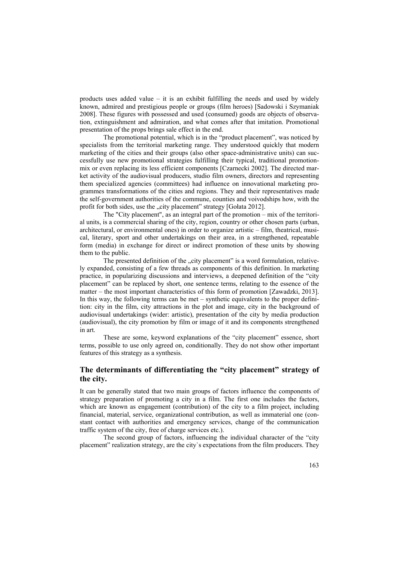products uses added value – it is an exhibit fulfilling the needs and used by widely known, admired and prestigious people or groups (film heroes) [Sadowski i Szymaniak 2008]. These figures with possessed and used (consumed) goods are objects of observation, extinguishment and admiration, and what comes after that imitation. Promotional presentation of the props brings sale effect in the end.

The promotional potential, which is in the "product placement", was noticed by specialists from the territorial marketing range. They understood quickly that modern marketing of the cities and their groups (also other space-administrative units) can successfully use new promotional strategies fulfilling their typical, traditional promotionmix or even replacing its less efficient components [Czarnecki 2002]. The directed market activity of the audiovisual producers, studio film owners, directors and representing them specialized agencies (committees) had influence on innovational marketing programmes transformations of the cities and regions. They and their representatives made the self-government authorities of the commune, counties and voivodships how, with the profit for both sides, use the "city placement" strategy [Gołata 2012].

The "City placement", as an integral part of the promotion – mix of the territorial units, is a commercial sharing of the city, region, country or other chosen parts (urban, architectural, or environmental ones) in order to organize artistic – film, theatrical, musical, literary, sport and other undertakings on their area, in a strengthened, repeatable form (media) in exchange for direct or indirect promotion of these units by showing them to the public.

The presented definition of the "city placement" is a word formulation, relatively expanded, consisting of a few threads as components of this definition. In marketing practice, in popularizing discussions and interviews, a deepened definition of the "city placement" can be replaced by short, one sentence terms, relating to the essence of the matter – the most important characteristics of this form of promotion [Zawadzki, 2013]. In this way, the following terms can be met – synthetic equivalents to the proper definition: city in the film, city attractions in the plot and image, city in the background of audiovisual undertakings (wider: artistic), presentation of the city by media production (audiovisual), the city promotion by film or image of it and its components strengthened in art.

These are some, keyword explanations of the "city placement" essence, short terms, possible to use only agreed on, conditionally. They do not show other important features of this strategy as a synthesis.

# **The determinants of differentiating the "city placement" strategy of the city.**

It can be generally stated that two main groups of factors influence the components of strategy preparation of promoting a city in a film. The first one includes the factors, which are known as engagement (contribution) of the city to a film project, including financial, material, service, organizational contribution, as well as immaterial one (constant contact with authorities and emergency services, change of the communication traffic system of the city, free of charge services etc.).

The second group of factors, influencing the individual character of the "city placement" realization strategy, are the city`s expectations from the film producers. They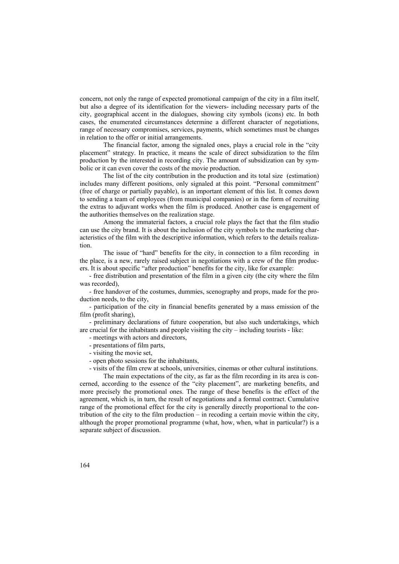concern, not only the range of expected promotional campaign of the city in a film itself, but also a degree of its identification for the viewers- including necessary parts of the city, geographical accent in the dialogues, showing city symbols (icons) etc. In both cases, the enumerated circumstances determine a different character of negotiations, range of necessary compromises, services, payments, which sometimes must be changes in relation to the offer or initial arrangements.

The financial factor, among the signaled ones, plays a crucial role in the "city placement" strategy. In practice, it means the scale of direct subsidization to the film production by the interested in recording city. The amount of subsidization can by symbolic or it can even cover the costs of the movie production.

The list of the city contribution in the production and its total size (estimation) includes many different positions, only signaled at this point. "Personal commitment" (free of charge or partially payable), is an important element of this list. It comes down to sending a team of employees (from municipal companies) or in the form of recruiting the extras to adjuvant works when the film is produced. Another case is engagement of the authorities themselves on the realization stage.

Among the immaterial factors, a crucial role plays the fact that the film studio can use the city brand. It is about the inclusion of the city symbols to the marketing characteristics of the film with the descriptive information, which refers to the details realization.

The issue of "hard" benefits for the city, in connection to a film recording in the place, is a new, rarely raised subject in negotiations with a crew of the film producers. It is about specific "after production" benefits for the city, like for example:

- free distribution and presentation of the film in a given city (the city where the film was recorded)

- free handover of the costumes, dummies, scenography and props, made for the production needs, to the city,

- participation of the city in financial benefits generated by a mass emission of the film (profit sharing),

- preliminary declarations of future cooperation, but also such undertakings, which are crucial for the inhabitants and people visiting the city – including tourists - like:

- meetings with actors and directors,
- presentations of film parts,
- visiting the movie set,
- open photo sessions for the inhabitants,

- visits of the film crew at schools, universities, cinemas or other cultural institutions.

The main expectations of the city, as far as the film recording in its area is concerned, according to the essence of the "city placement", are marketing benefits, and more precisely the promotional ones. The range of these benefits is the effect of the agreement, which is, in turn, the result of negotiations and a formal contract. Cumulative range of the promotional effect for the city is generally directly proportional to the contribution of the city to the film production – in recoding a certain movie within the city, although the proper promotional programme (what, how, when, what in particular?) is a separate subject of discussion.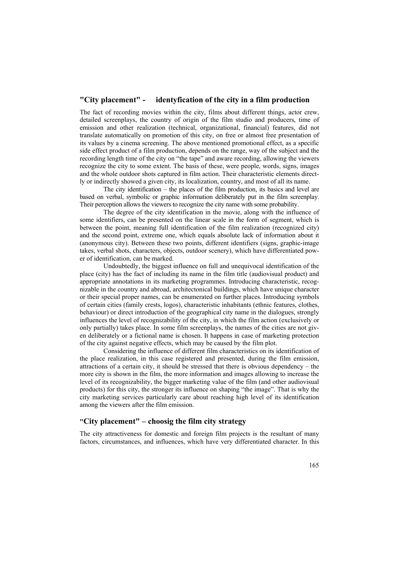### **"City placement" - identyfication of the city in a film production**

The fact of recording movies within the city, films about different things, actor crew, detailed screenplays, the country of origin of the film studio and producers, time of emission and other realization (technical, organizational, financial) features, did not translate automatically on promotion of this city, on free or almost free presentation of its values by a cinema screening. The above mentioned promotional effect, as a specific side effect product of a film production, depends on the range, way of the subject and the recording length time of the city on "the tape" and aware recording, allowing the viewers recognize the city to some extent. The basis of these, were people, words, signs, images and the whole outdoor shots captured in film action. Their characteristic elements directly or indirectly showed a given city, its localization, country, and most of all its name.

The city identification – the places of the film production, its basics and level are based on verbal, symbolic or graphic information deliberately put in the film screenplay. Their perception allows the viewers to recognize the city name with some probability.

The degree of the city identification in the movie, along with the influence of some identifiers, can be presented on the linear scale in the form of segment, which is between the point, meaning full identification of the film realization (recognized city) and the second point, extreme one, which equals absolute lack of information about it (anonymous city). Between these two points, different identifiers (signs, graphic-image takes, verbal shots, characters, objects, outdoor scenery), which have differentiated power of identification, can be marked.

Undoubtedly, the biggest influence on full and unequivocal identification of the place (city) has the fact of including its name in the film title (audiovisual product) and appropriate annotations in its marketing programmes. Introducing characteristic, recognizable in the country and abroad, architectonical buildings, which have unique character or their special proper names, can be enumerated on further places. Introducing symbols of certain cities (family crests, logos), characteristic inhabitants (ethnic features, clothes, behaviour) or direct introduction of the geographical city name in the dialogues, strongly influences the level of recognizability of the city, in which the film action (exclusively or only partially) takes place. In some film screenplays, the names of the cities are not given deliberately or a fictional name is chosen. It happens in case of marketing protection of the city against negative effects, which may be caused by the film plot.

Considering the influence of different film characteristics on its identification of the place realization, in this case registered and presented, during the film emission, attractions of a certain city, it should be stressed that there is obvious dependency – the more city is shown in the film, the more information and images allowing to increase the level of its recognizability, the bigger marketing value of the film (and other audiovisual products) for this city, the stronger its influence on shaping "the image". That is why the city marketing services particularly care about reaching high level of its identification among the viewers after the film emission.

### **"City placement" – choosig the film city strategy**

The city attractiveness for domestic and foreign film projects is the resultant of many factors, circumstances, and influences, which have very differentiated character. In this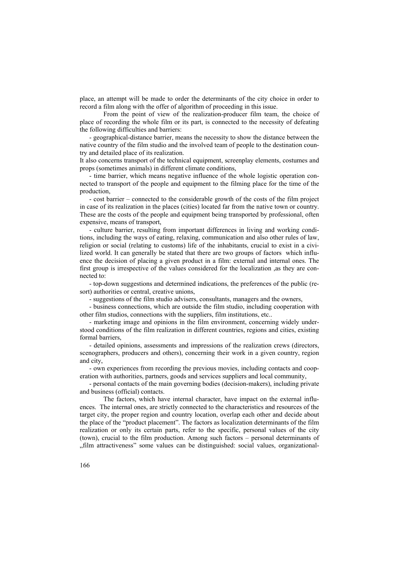place, an attempt will be made to order the determinants of the city choice in order to record a film along with the offer of algorithm of proceeding in this issue.

From the point of view of the realization-producer film team, the choice of place of recording the whole film or its part, is connected to the necessity of defeating the following difficulties and barriers:

- geographical-distance barrier, means the necessity to show the distance between the native country of the film studio and the involved team of people to the destination country and detailed place of its realization.

It also concerns transport of the technical equipment, screenplay elements, costumes and props (sometimes animals) in different climate conditions,

- time barrier, which means negative influence of the whole logistic operation connected to transport of the people and equipment to the filming place for the time of the production,

- cost barrier – connected to the considerable growth of the costs of the film project in case of its realization in the places (cities) located far from the native town or country. These are the costs of the people and equipment being transported by professional, often expensive, means of transport,

- culture barrier, resulting from important differences in living and working conditions, including the ways of eating, relaxing, communication and also other rules of law, religion or social (relating to customs) life of the inhabitants, crucial to exist in a civilized world. It can generally be stated that there are two groups of factors which influence the decision of placing a given product in a film: external and internal ones. The first group is irrespective of the values considered for the localization ,as they are connected to:

- top-down suggestions and determined indications, the preferences of the public (resort) authorities or central, creative unions,

- suggestions of the film studio advisers, consultants, managers and the owners,

- business connections, which are outside the film studio, including cooperation with other film studios, connections with the suppliers, film institutions, etc..

- marketing image and opinions in the film environment, concerning widely understood conditions of the film realization in different countries, regions and cities, existing formal barriers,

- detailed opinions, assessments and impressions of the realization crews (directors, scenographers, producers and others), concerning their work in a given country, region and city,

- own experiences from recording the previous movies, including contacts and cooperation with authorities, partners, goods and services suppliers and local community,

- personal contacts of the main governing bodies (decision-makers), including private and business (official) contacts.

The factors, which have internal character, have impact on the external influences. The internal ones, are strictly connected to the characteristics and resources of the target city, the proper region and country location, overlap each other and decide about the place of the "product placement". The factors as localization determinants of the film realization or only its certain parts, refer to the specific, personal values of the city (town), crucial to the film production. Among such factors – personal determinants of "film attractiveness" some values can be distinguished: social values, organizational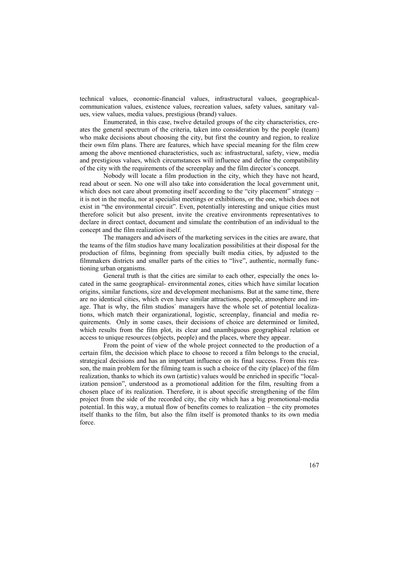technical values, economic-financial values, infrastructural values, geographicalcommunication values, existence values, recreation values, safety values, sanitary values, view values, media values, prestigious (brand) values.

Enumerated, in this case, twelve detailed groups of the city characteristics, creates the general spectrum of the criteria, taken into consideration by the people (team) who make decisions about choosing the city, but first the country and region, to realize their own film plans. There are features, which have special meaning for the film crew among the above mentioned characteristics, such as: infrastructural, safety, view, media and prestigious values, which circumstances will influence and define the compatibility of the city with the requirements of the screenplay and the film director`s concept.

Nobody will locate a film production in the city, which they have not heard, read about or seen. No one will also take into consideration the local government unit, which does not care about promoting itself according to the "city placement" strategy – it is not in the media, nor at specialist meetings or exhibitions, or the one, which does not exist in "the environmental circuit". Even, potentially interesting and unique cities must therefore solicit but also present, invite the creative environments representatives to declare in direct contact, document and simulate the contribution of an individual to the concept and the film realization itself.

The managers and advisers of the marketing services in the cities are aware, that the teams of the film studios have many localization possibilities at their disposal for the production of films, beginning from specially built media cities, by adjusted to the filmmakers districts and smaller parts of the cities to "live", authentic, normally functioning urban organisms.

General truth is that the cities are similar to each other, especially the ones located in the same geographical- environmental zones, cities which have similar location origins, similar functions, size and development mechanisms. But at the same time, there are no identical cities, which even have similar attractions, people, atmosphere and image. That is why, the film studios` managers have the whole set of potential localizations, which match their organizational, logistic, screenplay, financial and media requirements. Only in some cases, their decisions of choice are determined or limited, which results from the film plot, its clear and unambiguous geographical relation or access to unique resources (objects, people) and the places, where they appear.

From the point of view of the whole project connected to the production of a certain film, the decision which place to choose to record a film belongs to the crucial, strategical decisions and has an important influence on its final success. From this reason, the main problem for the filming team is such a choice of the city (place) of the film realization, thanks to which its own (artistic) values would be enriched in specific "localization pension", understood as a promotional addition for the film, resulting from a chosen place of its realization. Therefore, it is about specific strengthening of the film project from the side of the recorded city, the city which has a big promotional-media potential. In this way, a mutual flow of benefits comes to realization – the city promotes itself thanks to the film, but also the film itself is promoted thanks to its own media force.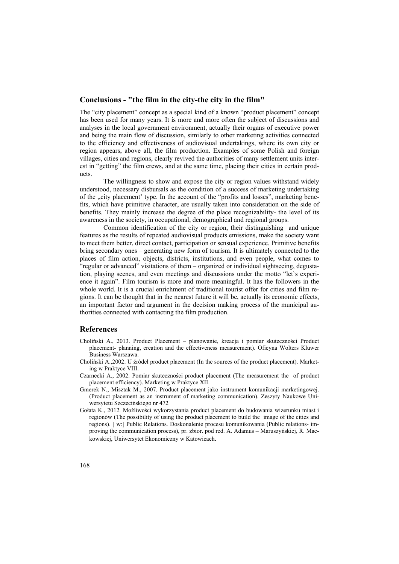#### **Conclusions - "the film in the city-the city in the film"**

The "city placement" concept as a special kind of a known "product placement" concept has been used for many years. It is more and more often the subject of discussions and analyses in the local government environment, actually their organs of executive power and being the main flow of discussion, similarly to other marketing activities connected to the efficiency and effectiveness of audiovisual undertakings, where its own city or region appears, above all, the film production. Examples of some Polish and foreign villages, cities and regions, clearly revived the authorities of many settlement units interest in "getting" the film crews, and at the same time, placing their cities in certain products.

The willingness to show and expose the city or region values withstand widely understood, necessary disbursals as the condition of a success of marketing undertaking of the "city placement' type. In the account of the "profits and losses", marketing benefits, which have primitive character, are usually taken into consideration on the side of benefits. They mainly increase the degree of the place recognizability- the level of its awareness in the society, in occupational, demographical and regional groups.

Common identification of the city or region, their distinguishing and unique features as the results of repeated audiovisual products emissions, make the society want to meet them better, direct contact, participation or sensual experience. Primitive benefits bring secondary ones – generating new form of tourism. It is ultimately connected to the places of film action, objects, districts, institutions, and even people, what comes to "regular or advanced" visitations of them – organized or individual sightseeing, degustation, playing scenes, and even meetings and discussions under the motto "let`s experience it again". Film tourism is more and more meaningful. It has the followers in the whole world. It is a crucial enrichment of traditional tourist offer for cities and film regions. It can be thought that in the nearest future it will be, actually its economic effects, an important factor and argument in the decision making process of the municipal authorities connected with contacting the film production.

#### **References**

- Choliński A., 2013. Product Placement planowanie, kreacja i pomiar skuteczności Product placement- planning, creation and the effectiveness measurement). Oficyna Wolters Kluwer Business Warszawa.
- Choliński A.,2002. U źródeł product placement (In the sources of the product placement). Marketing w Praktyce VIII.
- Czarnecki A., 2002. Pomiar skuteczności product placement (The measurement the of product placement efficiency). Marketing w Praktyce XII.
- Gmerek N., Misztak M., 2007. Product placement jako instrument komunikacji marketingowej. (Product placement as an instrument of marketing communication). Zeszyty Naukowe Uniwersytetu Szczecińskiego nr 472
- Gołata K., 2012. Możliwości wykorzystania product placement do budowania wizerunku miast i regionów (The possibility of using the product placement to build the image of the cities and regions). [ w:] Public Relations. Doskonalenie procesu komunikowania (Public relations- improving the communication process), pr. zbior. pod red. A. Adamus – Maruszyńskiej, R. Mackowskiej, Uniwersytet Ekonomiczny w Katowicach.